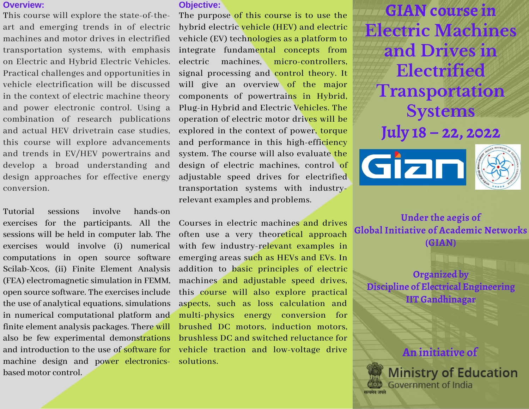# **Overview:**

This course will explore the state-of-theart and emerging trends in of electric machines and motor drives in electrified transportation systems, with emphasis on Electric and Hybrid Electric Vehicles. Practical challenges and opportunities in vehicle electrification will be discussed in the context of electric machine theory and power electronic control. Using a combination of research publications and actual HEV drivetrain case studies, this course will explore advancements and trends in EV/HEV powertrains and develop a broad understanding and design approaches for effective energy conversion.

machine design and power electronics- solutions. Tutorial sessions involve hands-on exercises for the participants. All the sessions will be held in computer lab. The exercises would involve (i) numerical computations in open source software Scilab-Xcos, (ii) Finite Element Analysis (FEA) electromagnetic simulation in FEMM, open source software. The exercises include the use of analytical equations, simulations in numerical computational platform and finite element analysis packages. There will also be few experimental demonstrations based motor control.

## **Objective:**

The purpose of this course is to use the hybrid electric vehicle (HEV) and electric vehicle (EV) technologies as a platform to integrate fundamental concepts from electric machines, micro-controllers, signal processing and control theory. It will give an overview of the major components of powertrains in Hybrid, Plug-in Hybrid and Electric Vehicles. The operation of electric motor drives will be explored in the context of power, torque and performance in this high-efficiency system. The course will also evaluate the design of electric machines, control of adjustable speed drives for electrified transportation systems with industryrelevant examples and problems.

Courses in electric machines and drives often use a very theoretical approach with few industry-relevant examples in emerging areas such as HEVs and EVs. In addition to basic principles of electric machines and adjustable speed drives, this course will also explore practical aspects, such as loss calculation and multi-physics energy conversion for brushed DC motors, induction motors, brushless DC and switched reluctance for and introduction to the use of software for vehicle traction and low-voltage drive

**GIAN course in Electric Machines and Drives in Electrified Transportation Systems July 18 – 22, 2022**





**Under the aegis of Global Initiative of Academic Networks**

**(GIAN)**

**Organized by Discipline of Electrical Engineering IIT Gandhinagar**



Government of India

**Ministry of Education**